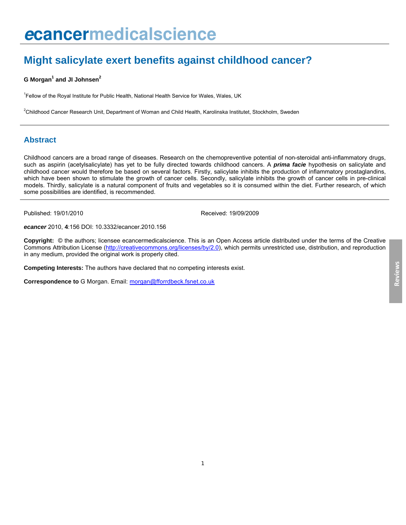# **Might salicylate exert benefits against childhood cancer?**

#### **G** Morgan<sup>1</sup> and JI Johnsen<sup>2</sup>

<sup>1</sup> Fellow of the Royal Institute for Public Health, National Health Service for Wales, Wales, UK

2 Childhood Cancer Research Unit, Department of Woman and Child Health, Karolinska Institutet, Stockholm, Sweden

# **Abstract**

Childhood cancers are a broad range of diseases. Research on the chemopreventive potential of non-steroidal anti-inflammatory drugs, such as aspirin (acetylsalicylate) has yet to be fully directed towards childhood cancers. A *prima facie* hypothesis on salicylate and childhood cancer would therefore be based on several factors. Firstly, salicylate inhibits the production of inflammatory prostaglandins, which have been shown to stimulate the growth of cancer cells. Secondly, salicylate inhibits the growth of cancer cells in pre-clinical models. Thirdly, salicylate is a natural component of fruits and vegetables so it is consumed within the diet. Further research, of which some possibilities are identified, is recommended.

Published: 19/01/2010 Received: 19/09/2009

*ecancer* 2010, **4**:156 DOI: [10.3332/ecancer.20](http://dx.doi.org/10.3332/ecancer.2010.156)10.156

**Copyright:** © the authors; licensee ecancermedicalscience. This is an Open Access article distributed under the terms of the Creative Commons Attribution License (<http://creativecommons.org/licenses/by/2.0>), which permits unrestricted use, distribution, and reproduction in any medium, provided the original work is properly cited.

**Competing Interests:** The authors have declared that no competing interests exist.

**Correspondence to** G Morgan. Email: [morgan@fforrdbeck.fsnet.co.uk](mailto:morgan@fforrdbeck.fsnet.co.uk)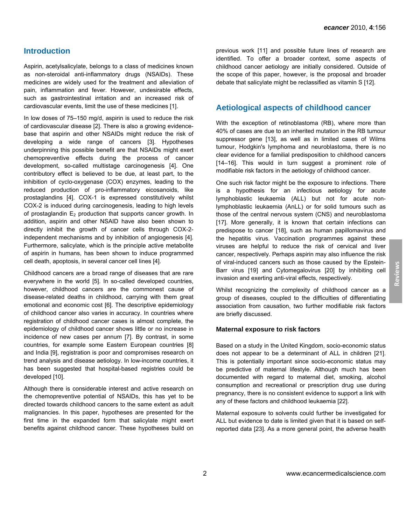# **Introduction**

Aspirin, acetylsalicylate, belongs to a class of medicines known as non-steroidal anti-inflammatory drugs (NSAIDs). These medicines are widely used for the treatment and alleviation of pain, inflammation and fever. However, undesirable effects, such as gastrointestinal irritation and an increased risk of cardiovascular events, limit the use of these medicines [1].

In low doses of 75–150 mg/d, aspirin is used to reduce the risk of cardiovascular disease [2]. There is also a growing evidencebase that aspirin and other NSAIDs might reduce the risk of developing a wide range of cancers [3]. Hypotheses underpinning this possible benefit are that NSAIDs might exert chemopreventive effects during the process of cancer development, so-called multistage carcinogenesis [4]. One contributory effect is believed to be due, at least part, to the inhibition of cyclo-oxygenase (COX) enzymes, leading to the reduced production of pro-inflammatory eicosanoids, like prostaglandins [4]. COX-1 is expressed constitutively whilst COX-2 is induced during carcinogenesis, leading to high levels of prostaglandin  $E_2$  production that supports cancer growth. In addition, aspirin and other NSAID have also been shown to directly inhibit the growth of cancer cells through COX-2 independent mechanisms and by inhibition of angiogenesis [4]. Furthermore, salicylate, which is the principle active metabolite of aspirin in humans, has been shown to induce programmed cell death, apoptosis, in several cancer cell lines [4].

Childhood cancers are a broad range of diseases that are rare everywhere in the world [5]. In so-called developed countries, however, childhood cancers are the commonest cause of disease-related deaths in childhood, carrying with them great emotional and economic cost [6]. The descriptive epidemiology of childhood cancer also varies in accuracy. In countries where registration of childhood cancer cases is almost complete, the epidemiology of childhood cancer shows little or no increase in incidence of new cases per annum [7]. By contrast, in some countries, for example some Eastern European countries [8] and India [9], registration is poor and compromises research on trend analysis and disease aetiology. In low-income countries, it has been suggested that hospital-based registries could be developed [10].

Although there is considerable interest and active research on the chemopreventive potential of NSAIDs, this has yet to be directed towards childhood cancers to the same extent as adult malignancies. In this paper, hypotheses are presented for the first time in the expanded form that salicylate might exert benefits against childhood cancer. These hypotheses build on

previous work [11] and possible future lines of research are identified. To offer a broader context, some aspects of childhood cancer aetiology are initially considered. Outside of the scope of this paper, however, is the proposal and broader debate that salicylate might be reclassified as vitamin S [12].

### **Aetiological aspects of childhood cancer**

With the exception of retinoblastoma (RB), where more than 40% of cases are due to an inherited mutation in the RB tumour suppressor gene [13], as well as in limited cases of Wilms tumour, Hodgkin's lymphoma and neuroblastoma, there is no clear evidence for a familial predisposition to childhood cancers [14–16]. This would in turn suggest a prominent role of modifiable risk factors in the aetiology of childhood cancer.

One such risk factor might be the exposure to infections. There is a hypothesis for an infectious aetiology for acute lymphoblastic leukaemia (ALL) but not for acute nonlymphoblastic leukaemia (AnLL) or for solid tumours such as those of the central nervous system (CNS) and neuroblastoma [17]. More generally, it is known that certain infections can predispose to cancer [18], such as human papillomavirus and the hepatitis virus. Vaccination programmes against these viruses are helpful to reduce the risk of cervical and liver cancer, respectively. Perhaps aspirin may also influence the risk of viral-induced cancers such as those caused by the Epstein-Barr virus [19] and Cytomegalovirus [20] by inhibiting cell invasion and exerting anti-viral effects, respectively.

Whilst recognizing the complexity of childhood cancer as a group of diseases, coupled to the difficulties of differentiating association from causation, two further modifiable risk factors are briefly discussed.

#### **Maternal exposure to risk factors**

Based on a study in the United Kingdom, socio-economic status does not appear to be a determinant of ALL in children [21]. This is potentially important since socio-economic status may be predictive of maternal lifestyle. Although much has been documented with regard to maternal diet, smoking, alcohol consumption and recreational or prescription drug use during pregnancy, there is no consistent evidence to support a link with any of these factors and childhood leukaemia [22].

Maternal exposure to solvents could further be investigated for ALL but evidence to date is limited given that it is based on selfreported data [23]. As a more general point, the adverse health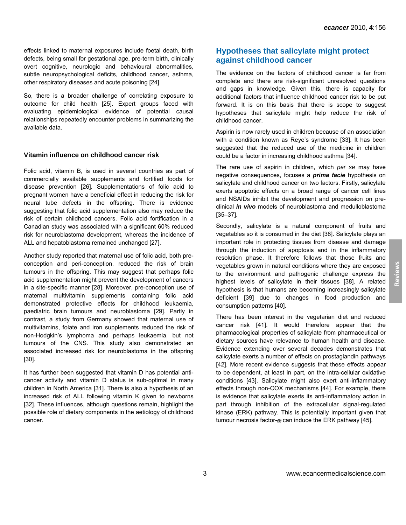effects linked to maternal exposures include foetal death, birth defects, being small for gestational age, pre-term birth, clinically overt cognitive, neurologic and behavioural abnormalities, subtle neuropsychological deficits, childhood cancer, asthma, other respiratory diseases and acute poisoning [24].

So, there is a broader challenge of correlating exposure to outcome for child health [25]. Expert groups faced with evaluating epidemiological evidence of potential causal relationships repeatedly encounter problems in summarizing the available data.

#### **Vitamin influence on childhood cancer risk**

Folic acid, vitamin B, is used in several countries as part of commercially available supplements and fortified foods for disease prevention [26]. Supplementations of folic acid to pregnant women have a beneficial effect in reducing the risk for neural tube defects in the offspring. There is evidence suggesting that folic acid supplementation also may reduce the risk of certain childhood cancers. Folic acid fortification in a Canadian study was associated with a significant 60% reduced risk for neuroblastoma development, whereas the incidence of ALL and hepatoblastoma remained unchanged [27].

Another study reported that maternal use of folic acid, both preconception and peri-conception, reduced the risk of brain tumours in the offspring. This may suggest that perhaps folic acid supplementation might prevent the development of cancers in a site-specific manner [28]. Moreover, pre-conception use of maternal multivitamin supplements containing folic acid demonstrated protective effects for childhood leukaemia, paediatric brain tumours and neuroblastoma [29]. Partly in contrast, a study from Germany showed that maternal use of multivitamins, folate and iron supplements reduced the risk of non-Hodgkin's lymphoma and perhaps leukaemia, but not tumours of the CNS. This study also demonstrated an associated increased risk for neuroblastoma in the offspring [30].

It has further been suggested that vitamin D has potential anticancer activity and vitamin D status is sub-optimal in many children in North America [31]. There is also a hypothesis of an increased risk of ALL following vitamin K given to newborns [32]. These influences, although questions remain, highlight the possible role of dietary components in the aetiology of childhood cancer.

# **Hypotheses that salicylate might protect against childhood cancer**

The evidence on the factors of childhood cancer is far from complete and there are risk-significant unresolved questions and gaps in knowledge. Given this, there is capacity for additional factors that influence childhood cancer risk to be put forward. It is on this basis that there is scope to suggest hypotheses that salicylate might help reduce the risk of childhood cancer.

Aspirin is now rarely used in children because of an association with a condition known as Reye's syndrome [33]. It has been suggested that the reduced use of the medicine in children could be a factor in increasing childhood asthma [34].

The rare use of aspirin in children, which *per se* may have negative consequences, focuses a *prima facie* hypothesis on salicylate and childhood cancer on two factors. Firstly, salicylate exerts apoptotic effects on a broad range of cancer cell lines and NSAIDs inhibit the development and progression on preclinical *in vivo* models of neuroblastoma and medulloblastoma [35–37].

Secondly, salicylate is a natural component of fruits and vegetables so it is consumed in the diet [38]. Salicylate plays an important role in protecting tissues from disease and damage through the induction of apoptosis and in the inflammatory resolution phase. It therefore follows that those fruits and vegetables grown in natural conditions where they are exposed to the environment and pathogenic challenge express the highest levels of salicylate in their tissues [38]. A related hypothesis is that humans are becoming increasingly salicylate deficient [39] due to changes in food production and consumption patterns [40].

There has been interest in the vegetarian diet and reduced cancer risk [41]. It would therefore appear that the pharmacological properties of salicylate from pharmaceutical or dietary sources have relevance to human health and disease. Evidence extending over several decades demonstrates that salicylate exerts a number of effects on prostaglandin pathways [42]. More recent evidence suggests that these effects appear to be dependent, at least in part, on the intra-cellular oxidative conditions [43]. Salicylate might also exert anti-inflammatory effects through non-COX mechanisms [44]. For example, there is evidence that salicylate exerts its anti-inflammatory action in part through inhibition of the extracellular signal-regulated kinase (ERK) pathway. This is potentially important given that tumour necrosis factor- $\alpha$  can induce the ERK pathway [45].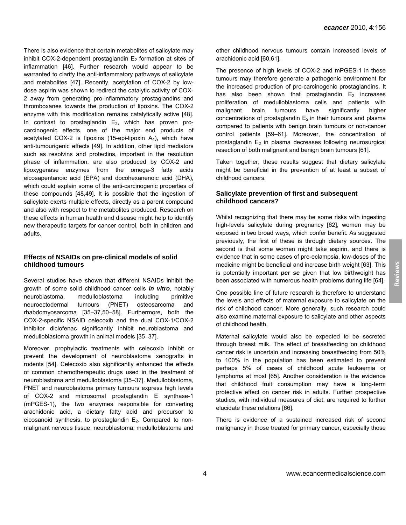There is also evidence that certain metabolites of salicylate may inhibit COX-2-dependent prostaglandin  $E_2$  formation at sites of inflammation [46]. Further research would appear to be warranted to clarify the anti-inflammatory pathways of salicylate and metabolites [47]. Recently, acetylation of COX-2 by lowdose aspirin was shown to redirect the catalytic activity of COX-2 away from generating pro-inflammatory prostaglandins and thromboxanes towards the production of lipoxins. The COX-2 enzyme with this modification remains catalytically active [48]. In contrast to prostaglandin  $E_2$ , which has proven procarcinogenic effects, one of the major end products of acetylated COX-2 is lipoxins (15-epi-lipoxin A4), which have anti-tumourigenic effects [49]. In addition, other lipid mediators such as resolvins and protectins, important in the resolution phase of inflammation, are also produced by COX-2 and lipoxygenase enzymes from the omega-3 fatty acids eicosapentanoic acid (EPA) and docohexanenoic acid (DHA), which could explain some of the anti-carcinogenic properties of these compounds [48,49]. It is possible that the ingestion of salicylate exerts multiple effects, directly as a parent compound and also with respect to the metabolites produced. Research on these effects in human health and disease might help to identify new therapeutic targets for cancer control, both in children and adults.

#### **Effects of NSAIDs on pre-clinical models of solid childhood tumours**

Several studies have shown that different NSAIDs inhibit the growth of some solid childhood cancer cells *in vitro*, notably neuroblastoma, medulloblastoma including primitive neuroectodermal tumours (PNET) osteosarcoma and rhabdomyosarcoma [35–37,50–58]. Furthermore, both the COX-2-specific NSAID celecoxib and the dual COX-1/COX-2 inhibitor diclofenac significantly inhibit neuroblastoma and medulloblastoma growth in animal models [35–37].

Moreover, prophylactic treatments with celecoxib inhibit or prevent the development of neuroblastoma xenografts in rodents [54]. Celecoxib also significantly enhanced the effects of common chemotherapeutic drugs used in the treatment of neuroblastoma and medulloblastoma [35–37]. Medulloblastoma, PNET and neuroblastoma primary tumours express high levels of COX-2 and microsomal prostaglandin E synthase-1 (mPGES-1), the two enzymes responsible for converting arachidonic acid, a dietary fatty acid and precursor to eicosanoid synthesis, to prostaglandin  $E_2$ . Compared to nonmalignant nervous tissue, neuroblastoma, medulloblastoma and other childhood nervous tumours contain increased levels of arachidonic acid [60,61].

The presence of high levels of COX-2 and mPGES-1 in these tumours may therefore generate a pathogenic environment for the increased production of pro-carcinogenic prostaglandins. It has also been shown that prostaglandin  $E_2$  increases proliferation of medulloblastoma cells and patients with malignant brain tumours have significantly higher concentrations of prostaglandin  $E_2$  in their tumours and plasma compared to patients with benign brain tumours or non-cancer control patients [59–61]. Moreover, the concentration of prostaglandin  $E_2$  in plasma decreases following neurosurgical resection of both malignant and benign brain tumours [61].

Taken together, these results suggest that dietary salicylate might be beneficial in the prevention of at least a subset of childhood cancers.

#### **Salicylate prevention of first and subsequent childhood cancers?**

Whilst recognizing that there may be some risks with ingesting high-levels salicylate during pregnancy [62], women may be exposed in two broad ways, which confer benefit. As suggested previously, the first of these is through dietary sources. The second is that some women might take aspirin, and there is evidence that in some cases of pre-eclampsia, low-doses of the medicine might be beneficial and increase birth weight [63]. This is potentially important *per se* given that low birthweight has been associated with numerous health problems during life [64].

One possible line of future research is therefore to understand the levels and effects of maternal exposure to salicylate on the risk of childhood cancer. More generally, such research could also examine maternal exposure to salicylate and other aspects of childhood health.

Maternal salicylate would also be expected to be secreted through breast milk. The effect of breastfeeding on childhood cancer risk is uncertain and increasing breastfeeding from 50% to 100% in the population has been estimated to prevent perhaps 5% of cases of childhood acute leukaemia or lymphoma at most [65]. Another consideration is the evidence that childhood fruit consumption may have a long-term protective effect on cancer risk in adults. Further prospective studies, with individual measures of diet, are required to further elucidate these relations [66].

There is evidence of a sustained increased risk of second malignancy in those treated for primary cancer, especially those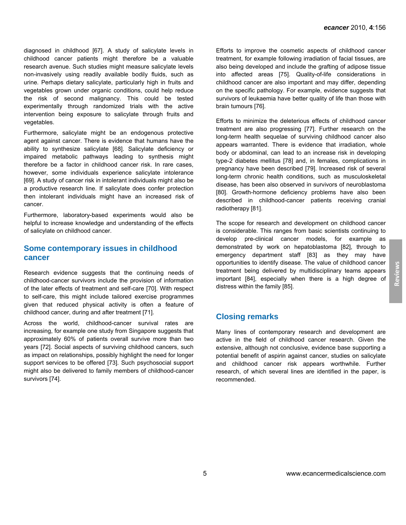diagnosed in childhood [67]. A study of salicylate levels in childhood cancer patients might therefore be a valuable research avenue. Such studies might measure salicylate levels non-invasively using readily available bodily fluids, such as urine. Perhaps dietary salicylate, particularly high in fruits and vegetables grown under organic conditions, could help reduce the risk of second malignancy. This could be tested experimentally through randomized trials with the active intervention being exposure to salicylate through fruits and vegetables.

Furthermore, salicylate might be an endogenous protective agent against cancer. There is evidence that humans have the ability to synthesize salicylate [68]. Salicylate deficiency or impaired metabolic pathways leading to synthesis might therefore be a factor in childhood cancer risk. In rare cases, however, some individuals experience salicylate intolerance [69]. A study of cancer risk in intolerant individuals might also be a productive research line. If salicylate does confer protection then intolerant individuals might have an increased risk of cancer.

Furthermore, laboratory-based experiments would also be helpful to increase knowledge and understanding of the effects of salicylate on childhood cancer.

#### **Some contemporary issues in childhood cancer**

Research evidence suggests that the continuing needs of childhood-cancer survivors include the provision of information of the later effects of treatment and self-care [70]. With respect to self-care, this might include tailored exercise programmes given that reduced physical activity is often a feature of childhood cancer, during and after treatment [71].

Across the world, childhood-cancer survival rates are increasing, for example one study from Singapore suggests that approximately 60% of patients overall survive more than two years [72]. Social aspects of surviving childhood cancers, such as impact on relationships, possibly highlight the need for longer support services to be offered [73]. Such psychosocial support might also be delivered to family members of childhood-cancer survivors [74].

Efforts to improve the cosmetic aspects of childhood cancer treatment, for example following irradiation of facial tissues, are also being developed and include the grafting of adipose tissue into affected areas [75]. Quality-of-life considerations in childhood cancer are also important and may differ, depending on the specific pathology. For example, evidence suggests that survivors of leukaemia have better quality of life than those with brain tumours [76].

Efforts to minimize the deleterious effects of childhood cancer treatment are also progressing [77]. Further research on the long-term health sequelae of surviving childhood cancer also appears warranted. There is evidence that irradiation, whole body or abdominal, can lead to an increase risk in developing type-2 diabetes mellitus [78] and, in females, complications in pregnancy have been described [79]. Increased risk of several long-term chronic health conditions, such as musculoskeletal disease, has been also observed in survivors of neuroblastoma [80]. Growth-hormone deficiency problems have also been described in childhood-cancer patients receiving cranial radiotherapy [81].

The scope for research and development on childhood cancer is considerable. This ranges from basic scientists continuing to develop pre-clinical cancer models, for example as demonstrated by work on hepatoblastoma [82], through to emergency department staff [83] as they may have opportunities to identify disease. The value of childhood cancer treatment being delivered by multidisciplinary teams appears important [84], especially when there is a high degree of distress within the family [85].

# **Closing remarks**

Many lines of contemporary research and development are active in the field of childhood cancer research. Given the extensive, although not conclusive, evidence base supporting a potential benefit of aspirin against cancer, studies on salicylate and childhood cancer risk appears worthwhile. Further research, of which several lines are identified in the paper, is recommended.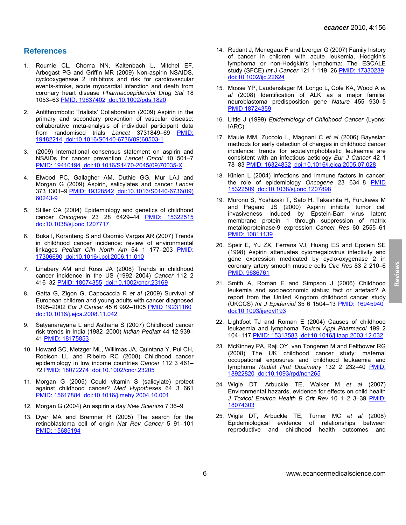### **References**

- 1. Roumie CL, Choma NN, Kaltenbach L, Mitchel EF, Arbogast PG and Griffin MR (2009) Non-aspirin NSAIDS, cyclooxygenase 2 inhibitors and risk for cardiovascular events-stroke, acute myocardial infarction and death from coronary heart disease *Pharmacoepidemiol Drug Saf* 18 1053–63 [PMID: 19637402](http://www.ncbi.nlm.nih.gov/pubmed/19637402) [doi:10.1002/pds.1820](http://dx.doi.org/10.1002/pds.1820)
- 2. Antithrombotic Trialists' Collaboration (2009) Aspirin in the primary and secondary prevention of vascular disease: collaborative meta-analysis of individual participant data from randomised trials *Lancet* 3731849–69 [PMID:](http://www.ncbi.nlm.nih.gov/pubmed/19482214)  [19482214](http://www.ncbi.nlm.nih.gov/pubmed/19482214) [doi:10.1016/S0140-6736\(09\)60503-1](http://dx.doi.org/10.1016/S0140-6736(09)60503-1)
- 3. (2009) International consensus statement on aspirin and NSAIDs for cancer prevention *Lancet Oncol* 10 501–7 [PMID: 19410194](http://www.ncbi.nlm.nih.gov/pubmed/19410194) [doi:10.1016/S1470-2045\(09\)70035-X](http://dx.doi.org/10.1016/S1470-2045(09)70035-X)
- 4. Elwood PC, Gallagher AM, Duthie GG, Mur LAJ and Morgan G (2009) Aspirin, salicylates and cancer *Lancet*  373 1301–9 [PMID: 19328542](http://www.ncbi.nlm.nih.gov/pubmed/19328542) [doi:10.1016/S0140-6736\(09\)](http://dx.doi.org/10.1016/S0140-6736(09)60243-9) [60243-9](http://dx.doi.org/10.1016/S0140-6736(09)60243-9)
- 5. Stiller CA (2004) Epidemiology and genetics of childhood cancer *Oncogene* 23 28 6429–44 [PMID: 15322515](http://www.ncbi.nlm.nih.gov/pubmed/15322515) [doi:10.1038/sj.onc.1207717](http://dx.doi.org/10.1038/sj.onc.1207717)
- 6. Buka I, Koranteng S and Osornio Vargas AR (2007) Trends in childhood cancer incidence: review of environmental linkages *Pediatr Clin North Am* 54 1 177–203 [PMID:](http://www.ncbi.nlm.nih.gov/pubmed/17306690)  [17306690](http://www.ncbi.nlm.nih.gov/pubmed/17306690) [doi:10.1016/j.pcl.2006.11.010](http://dx.doi.org/10.1016/j.pcl.2006.11.010)
- 7. Linabery AM and Ross JA (2008) Trends in childhood cancer incidence in the US (1992–2004) *Cancer* 112 2 416–32 [PMID: 18074355](http://www.ncbi.nlm.nih.gov/pubmed/18074355) [doi:10.1002/cncr.23169](http://dx.doi.org/10.1002/cncr.23169)
- 8. Gatta G, Zigon G, Capocaccia R *et al* (2009) Survival of European children and young adults with cancer diagnosed 1995–2002 *Eur J Cancer* 45 6 992–1005 [PMID 19231160](http://www.ncbi.nlm.nih.gov/pubmed/19231160) [doi:10.1016/j.ejca.2008.11.042](http://dx.doi.org/10.1016/j.ejca.2008.11.042)
- 9. Satyanarayana L and Asthana S (2007) Childhood cancer risk trends in India (1982–2000) *Indian Pediatr* 44 12 939– 41 [PMID: 18175853](http://www.ncbi.nlm.nih.gov/pubmed/18175853)
- 10. Howard SC, Metzger ML, Willimas JA, Quintana Y, Pui CH, Robison LL and Ribeiro RC (2008) Childhood cancer epidemiology in low income countries *Cancer* 112 3 461– 72 [PMID: 18072274](http://www.ncbi.nlm.nih.gov/pubmed/18072274) [doi:10.1002/cncr.23205](http://dx.doi.org/10.1002/cncr.23205)
- 11. Morgan G (2005) Could vitamin S (salicylate) protect against childhood cancer? *Med Hypotheses* 64 3 661 [PMID: 15617884](http://www.ncbi.nlm.nih.gov/pubmed/15617884) [doi:10.1016/j.mehy.2004.10.001](http://dx.doi.org/10.1016/j.mehy.2004.10.001)
- 12. Morgan G (2004) An aspirin a day *New Scientist* 7 36–9
- 13. Dyer MA and Bremner R (2005) The search for the retinoblastoma cell of origin *Nat Rev Cancer* 5 91–101 [PMID: 15685194](http://www.ncbi.nlm.nih.gov/pubmed/15685194)
- 14. Rudant J, Menegaux F and Lverger G (2007) Family history of cancer in children with acute leukemia, Hodgkin's lymphoma or non-Hodgkin's lymphoma: The ESCALE study (SFCE) *Int J Cancer* 121 1 119–26 [PMID: 17330239](http://www.ncbi.nlm.nih.gov/pubmed/17330239) [doi:10.1002/ijc.22624](http://dx.doi.org/10.1002/ijc.22624)
- 15. Mosse YP, Laudenslager M, Longo L, Cole KA, Wood A *et al* (2008) Identification of ALK as a major familial neuroblastoma predisposition gene *Nature* 455 930–5 [PMID 18724359](http://www.ncbi.nlm.nih.gov/pubmed/18724359)
- 16. Little J (1999) *Epidemiology of Childhood Cancer* (Lyons: IARC)
- 17. Maule MM, Zuccolo L, Magnani C *et al* (2006) Bayesian methods for early detection of changes in childhood cancer incidence: trends for acutelymphoblastic leukaemia are consistent with an infectious aetiology *Eur J Cancer* 42 1 78–83 [PMID: 16324832](http://www.ncbi.nlm.nih.gov/pubmed/16324832) [doi:10.1016/j.ejca.2005.07.028](http://dx.doi.org/10.1016/j.ejca.2005.07.028)
- 18. Kinlen L (2004) Infections and immune factors in cancer: the role of epidemiology *Oncogene* 23 634–8 [PMID](http://www.ncbi.nlm.nih.gov/pubmed/15322509)  [15322509](http://www.ncbi.nlm.nih.gov/pubmed/15322509) [doi:10.1038/sj.onc.1207898](http://dx.doi.org/10.1038/sj.onc.1207898)
- 19. Murono S, Yoshizaki T, Sato H, Takeshita H, Furukawa M and Pagano JS (2000) Aspirin inhibits tumor cell invasiveness induced by Epstein-Barr virus latent membrane protein 1 through suppression of matrix metalloproteinase-9 expression *Cancer Res* 60 2555–61 [PMID: 10811139](http://www.ncbi.nlm.nih.gov/pubmed/10811139)
- 20. Speir E, Yu ZX, Ferrans VJ, Huang ES and Epstein SE (1998) Aspirin attenuates cytomegalovirus infectivity and gene expression medicated by cyclo-oxygenase 2 in coronary artery smooth muscle cells *Circ Res* 83 2 210–6 [PMID: 9686761](http://www.ncbi.nlm.nih.gov/pubmed/9686761)
- 21. Smith A, Roman E and Simpson J (2006) Childhood leukemia and socioeconomic status: fact or artefact? A report from the United Kingdom childhood cancer study (UKCCS) *Int J Epidemiol* 35 6 1504–13 [PMID: 16945940](http://www.ncbi.nlm.nih.gov/pubmed/16945940) [doi:10.1093/ije/dyl193](http://dx.doi.org/10.1093/ije/dyl193)
- 22. Lightfoot TJ and Roman E (2004) Causes of childhood leukaemia and lymphoma *Toxicol Appl Pharmacol* 199 2 104–117 [PMID: 15313583](http://www.ncbi.nlm.nih.gov/pubmed/15313583) [doi:10.1016/j.taap.2003.12.032](http://dx.doi.org/10.1016/j.taap.2003.12.032)
- 23. McKinney PA, Raji OY, van Tongeren M and Feltbower RG (2008) The UK childhood cancer study: maternal occupational exposures and childhood leukaemia and lymphoma *Radiat Prot Dosimetry* 132 2 232–40 [PMID:](http://www.ncbi.nlm.nih.gov/pubmed/18922820)  [18922820](http://www.ncbi.nlm.nih.gov/pubmed/18922820) [doi:10.1093/rpd/ncn265](http://dx.doi.org/10.1093/rpd/ncn265)
- 24. Wigle DT, Arbuckle TE, Walker M *et al* (2007) Environmental hazards, evidence for effects on child health *J Toxicol Environ Health B Crit Rev* 10 1–2 3–39 [PMID:](http://www.ncbi.nlm.nih.gov/pubmed/18074303)  [18074303](http://www.ncbi.nlm.nih.gov/pubmed/18074303)
- 25. Wigle DT, Arbuckle TE, Turner MC *et al* (2008) Epidemiological evidence of relationships between reproductive and childhood health outcomes and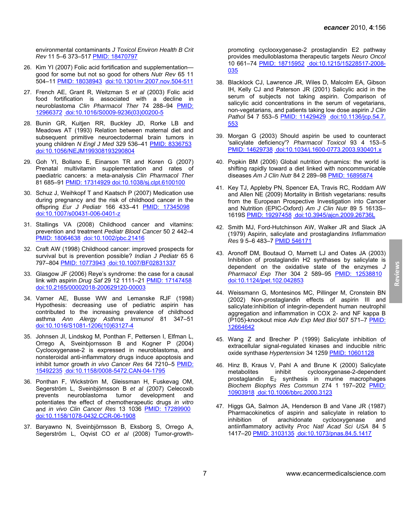**Reviews**

environmental contaminants *J Toxicol Environ Health B Crit Rev* 11 5–6 373–517 [PMID: 18470797](http://www.ncbi.nlm.nih.gov/pubmed/18470797)

- 26. Kim YI (2007) Folic acid fortification and supplementation good for some but not so good for others *Nutr Rev* 65 11 504–11 [PMID: 18038943](http://www.ncbi.nlm.nih.gov/pubmed/18038943) [doi:10.1301/nr.2007.nov.504-511](http://dx.doi.org/10.1301/nr.2007.nov.504-511)
- 27. French AE, Grant R, Weitzman S *et al* (2003) Folic acid food fortification is associated with a decline in neuroblastoma *Clin Pharmacol Ther* 74 288–94 [PMID:](http://www.ncbi.nlm.nih.gov/pubmed/12966372)  [12966372](http://www.ncbi.nlm.nih.gov/pubmed/12966372) [doi:10.1016/S0009-9236\(03\)00200-5](http://dx.doi.org/10.1016/S0009-9236(03)00200-5)
- 28. Bunin GR, Kuitjen RR, Buckley JD, Rorke LB and Meadows AT (1993) Relation between maternal diet and subsequent primitive neuroectodermal brain tumors in young children *N Engl J Med* 329 536–41 [PMID: 8336753](http://www.ncbi.nlm.nih.gov/pubmed/8336753) [doi:10.1056/NEJM199308193290804](http://dx.doi.org/10.1056/NEJM199308193290804)
- 29. Goh YI, Bollano E, Einarson TR and Koren G (2007) Prenatal multivitamin supplementation and rates of paediatric cancers: a meta-analysis *Clin Pharmacol Ther*  81 685–91 [PMID: 17314929](http://www.ncbi.nlm.nih.gov/pubmed/17314929) [doi:10.1038/sj.clpt.6100100](http://dx.doi.org/10.1038/sj.clpt.6100100)
- 30. Schuz J, Weihkopf T and Kaatsch P (2007) Medication use during pregnancy and the risk of childhood cancer in the offspring *Eur J Pediatr* 166 433–41 [PMID: 17345098](http://www.ncbi.nlm.nih.gov/pubmed/17345098) [doi:10.1007/s00431-006-0401-z](http://dx.doi.org/10.1007/s00431-006-0401-z)
- 31. Stallings VA (2008) Childhood cancer and vitamins: prevention and treatment *Pediatr Blood Cancer* 50 2 442–4 [PMID: 18064638](http://www.ncbi.nlm.nih.gov/pubmed/18064638) [doi:10.1002/pbc.21416](http://dx.doi.org/10.1002/pbc.21416)
- 32. Craft AW (1998) Childhood cancer: improved prospects for survival but is prevention possible? *Indian J Pediatr* 65 6 797–804 [PMID: 10773943](http://www.ncbi.nlm.nih.gov/pubmed/10773943) [doi:10.1007/BF02831337](http://dx.doi.org/10.1007/BF02831337)
- 33. Glasgow JF (2006) Reye's syndrome: the case for a causal link with aspirin *Drug Saf* 29 12 1111–21 [PMID: 17147458](http://www.ncbi.nlm.nih.gov/pubmed/17147458) [doi:10.2165/00002018-200629120-00003](http://dx.doi.org/10.2165/00002018-200629120-00003)
- 34. Varner AE, Busse WW and Lemanske RJF (1998) Hypothesis: decreasing use of pediatric aspirin has contributed to the increasing prevalence of childhood asthma *Ann Alergy Asthma Immunol* 81 347–51 [doi:10.1016/S1081-1206\(10\)63127-4](http://dx.doi.org/10.1016/S1081-1206(10)63127-4)
- 35. Johnsen JI, Lindskog M, Ponthan F, Pettersen I, Elfman L, Orrego A, Sveinbjornsson B and Kogner P (2004) Cyclooxygenase-2 is expressed in neuroblastoma, and nonsteroidal anti-inflammatory drugs induce apoptosis and inhibit tumor growth *in vivo Cancer Res* 64 7210–5 [PMID:](http://www.ncbi.nlm.nih.gov/pubmed/15492235)  [15492235](http://www.ncbi.nlm.nih.gov/pubmed/15492235) [doi:10.1158/0008-5472.CAN-04-1795](http://dx.doi.org/10.1158/0008-5472.CAN-04-1795)
- 36. Ponthan F, Wickström M, Gleissman H, Fuskevag OM, Segerström L, Sveinbjörnsson B *et al* (2007) Celecoxib prevents neuroblastoma tumor development and potentiates the effect of chemotherapeutic drugs *in vitro* and *in vivo Clin Cancer Res* 13 1036 [PMID: 17289900](http://www.ncbi.nlm.nih.gov/pubmed/17289900) [doi:10.1158/1078-0432.CCR-06-1908](http://dx.doi.org/10.1158/1078-0432.CCR-06-1908)
- 37. Baryawno N, Sveinbjörnsson B, Eksborg S, Orrego A, Segerström L, Oqvist CO *et al* (2008) Tumor-growth-

promoting cyclooxygenase-2 prostaglandin E2 pathway provides medulloblastoma therapeutic targets *Neuro Oncol*  10 661–74 [PMID: 18715952](http://www.ncbi.nlm.nih.gov/pubmed/18715952) [doi:10.1215/15228517-2008-](http://dx.doi.org/10.1215/15228517-2008-035) [035](http://dx.doi.org/10.1215/15228517-2008-035)

- 38. Blacklock CJ, Lawrence JR, Wiles D, Malcolm EA, Gibson IH, Kelly CJ and Paterson JR (2001) Salicylic acid in the serum of subjects not taking aspirin. Comparison of salicylic acid concentrations in the serum of vegetarians, non-vegetarians, and patients taking low dose aspirin *J Clin*  Pathol 54 7 553-5 [PMID: 11429429](http://www.ncbi.nlm.nih.gov/pubmed/11429429) [doi:10.1136/jcp.54.7.](http://dx.doi.org/10.1136/jcp.54.7.553) [553](http://dx.doi.org/10.1136/jcp.54.7.553)
- 39. Morgan G (2003) Should aspirin be used to counteract 'salicylate deficiency'? *Pharmacol Toxicol* 93 4 153–5 [PMID: 14629738](http://www.ncbi.nlm.nih.gov/pubmed/14629738) [doi:10.1034/j.1600-0773.2003.930401.x](http://dx.doi.org/10.1034/j.1600-0773.2003.930401.x)
- 40. Popkin BM (2006) Global nutrition dynamics: the world is shifting rapidly toward a diet linked with noncommunicable diseases *Am J Clin Nutr* 84 2 289–98 [PMID: 16895874](http://www.ncbi.nlm.nih.gov/pubmed/16895874)
- 41. Key TJ, Appleby PN, Spencer EA, Travis RC, Roddam AW and Allen NE (2009) Mortality in British vegetarians: results from the European Prospective Investigation into Cancer and Nutrition (EPIC-Oxford) *Am J Clin Nutr* 89 5 1613S– 1619S [PMID: 19297458](http://www.ncbi.nlm.nih.gov/pubmed/19297458) [doi:10.3945/ajcn.2009.26736L](http://dx.doi.org/10.3945/ajcn.2009.26736L)
- 42. Smith MJ, Ford-Hutchinson AW, Walker JR and Slack JA (1979) Aspirin, salicylate and prostaglandins *Inflammation Res* 9 5–6 483–7 [PMID 546171](http://www.ncbi.nlm.nih.gov/pubmed/546171)
- 43. Aronoff DM, Boutaud O, Marnett LJ and Oates JA (2003) Inhibition of prostaglandin H2 synthases by salicylate is dependent on the oxidative state of the enzymes *J Pharmacol Exp Ther* 304 2 589–95 [PMID: 12538810](http://www.ncbi.nlm.nih.gov/pubmed/12538810) [doi:10.1124/jpet.102.042853](http://dx.doi.org/10.1124/jpet.102.042853)
- 44. Weissmann G, Montesinos MC, Pillinger M, Cronstein BN (2002) Non-prostaglandin effects of aspirin III and salicylate:inhibition of integrin-dependent human neutrophil aggregation and inflammation in COX 2- and NF kappa B (P105)-knockout mice *Adv Exp Med Biol* 507 571–7 [PMID:](http://www.ncbi.nlm.nih.gov/pubmed/12664642)  [12664642](http://www.ncbi.nlm.nih.gov/pubmed/12664642)
- 45. Wang Z and Brecher P (1999) Salicylate inhibition of extracellular signal-regulated kinases and inducible nitric oxide synthase *Hypertension* 34 1259 [PMID: 10601128](http://www.ncbi.nlm.nih.gov/pubmed/10601128)
- 46. Hinz B, Kraus V, Pahl A and Brune K (2000) Salicylate metabolites inhibit cyclooxygenase-2-dependent prostaglandin  $E_2$  synthesis in murine macrophages *Biochem Biophys Res Commun* 274 1 197–202 [PMID:](http://www.ncbi.nlm.nih.gov/pubmed/10903918)  [10903918](http://www.ncbi.nlm.nih.gov/pubmed/10903918) [doi:10.1006/bbrc.2000.3123](http://dx.doi.org/10.1006/bbrc.2000.3123)
- 47. Higgs GA, Salmon JA, Henderson B and Vane JR (1987) Pharmacokinetics of aspirin and salicylate in relation to inhibition of arachidonate cyclooxygenase and antiinflammatory activity *Proc Natl Acad Sci USA* 84 5 1417–20 [PMID: 3103135](http://www.ncbi.nlm.nih.gov/pubmed/3103135) [doi:10.1073/pnas.84.5.1417](http://dx.doi.org/10.1073/pnas.84.5.1417)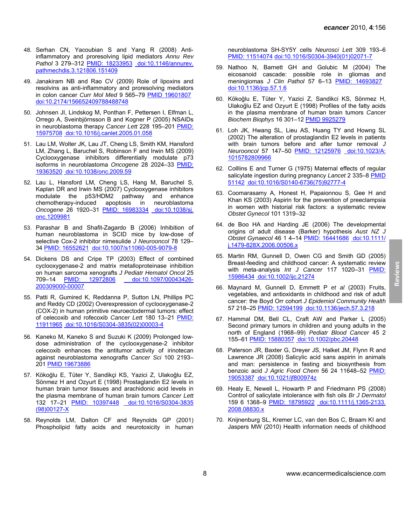- 48. Serhan CN, Yacoubian S and Yang R (2008) Antiinflammatory and proresolving lipid mediators *Annu Rev Pathol* 3 279–312 [PMID: 18233953](http://www.ncbi.nlm.nih.gov/pubmed/18233953) [doi:10.1146/annurev.](http://dx.doi.org/10.1146/annurev.pathmechdis.3.121806.151409) [pathmechdis.3.121806.151409](http://dx.doi.org/10.1146/annurev.pathmechdis.3.121806.151409)
- 49. Janakiram NB and Rao CV (2009) Role of lipoxins and resolvins as anti-inflammatory and proresolving mediators in colon cancer *Curr Mol Med* 9 565–79 [PMID 19601807](http://www.ncbi.nlm.nih.gov/pubmed/19601807) [doi:10.2174/156652409788488748](http://dx.doi.org/10.2174/156652409788488748)
- 50. Johnsen JI, Lindskog M, Ponthan F, Pettersen I, Elfman L, Orrego A, Sveinbjörnsson B and Kogner P (2005) NSAIDs in neuroblastoma therapy *Cancer Lett* 228 195–201 [PMID:](http://www.ncbi.nlm.nih.gov/pubmed/15975708)  [15975708](http://www.ncbi.nlm.nih.gov/pubmed/15975708) [doi:10.1016/j.canlet.2005.01.058](http://dx.doi.org/10.1016/j.canlet.2005.01.058)
- 51. Lau LM, Wolter JK, Lau JT, Cheng LS, Smith KM, Hansford LM, Zhang L, Baruchel S, Robinson F and Irwin MS (2009) Cyclooxygenase inhibitors differentially modulate p73 isoforms in neuroblastoma *Oncogene* 28 2024–33 [PMID:](http://www.ncbi.nlm.nih.gov/pubmed/19363520)  [19363520](http://www.ncbi.nlm.nih.gov/pubmed/19363520) [doi:10.1038/onc.2009.59](http://dx.doi.org/10.1038/onc.2009.59)
- 52. Lau L, Hansford LM, Cheng LS, Hang M, Baruchel S, Kaplan DR and Irwin MS (2007) Cyclooxygenase inhibitors modulate the p53/HDM2 pathway and enhance chemotherapy-induced apoptosis in neuroblastoma *Oncogene* 26 1920–31 [PMID: 16983334](http://www.ncbi.nlm.nih.gov/pubmed/16983334) [doi:10.1038/sj.](http://dx.doi.org/10.1038/sj.onc.1209981) [onc.1209981](http://dx.doi.org/10.1038/sj.onc.1209981)
- 53. Parashar B and Shafit-Zagardo B (2006) Inhibition of human neuroblastoma in SCID mice by low-dose of selective Cox-2 inhibitor nimesulide *J Neurooncol* 78 129– 34 [PMID: 16552621](http://www.ncbi.nlm.nih.gov/pubmed/16552621) [doi:10.1007/s11060-005-9079-8](http://dx.doi.org/10.1007/s11060-005-9079-8)
- 54. Dickens DS and Cripe TP (2003) Effect of combined cyclooxygenase-2 and matrix metalloproteinase inhibition on human sarcoma xenografts *J Pediatr Hematol Oncol* 25 709–14 [PMID: 12972806](http://www.ncbi.nlm.nih.gov/pubmed/12972806) [doi:10.1097/00043426-](http://dx.doi.org/10.1097/00043426-200309000-00007) [200309000-00007](http://dx.doi.org/10.1097/00043426-200309000-00007)
- 55. Patti R, Gumired K, Reddanna P, Sutton LN, Phillips PC and Reddy CD (2002) Overexpression of cyclooxygenase-2 (COX-2) in human primitive neuroectodermal tumors: effect of celecoxib and rofecoxib *Cancer Lett* 180 13–21 [PMID:](http://www.ncbi.nlm.nih.gov/pubmed/11911965)  [11911965](http://www.ncbi.nlm.nih.gov/pubmed/11911965) [doi:10.1016/S0304-3835\(02\)00003-4](http://dx.doi.org/10.1016/S0304-3835(02)00003-4)
- 56. Kaneko M, Kaneko S and Suzuki K (2009) Prolonged lowdose administration of the cyclooxygenase-2 inhibitor celecoxib enhances the antitumor activity of irinotecan against neuroblastoma xenografts *Cancer Sci* 100 2193– 201 [PMID 19673886](http://www.ncbi.nlm.nih.gov/pubmed/19673886)
- 57. Kökoğlu E, Tüter Y, Sandikçi KS, Yazici Z, Ulakoğlu EZ, Sönmez H and Ozyurt E (1998) Prostaglandin E2 levels in human brain tumor tissues and arachidonic acid levels in the plasma membrane of human brain tumors *Cancer Lett*  132 17-21 [PMID: 10397448](http://www.ncbi.nlm.nih.gov/pubmed/10397448) [doi:10.1016/S0304-3835](http://dx.doi.org/10.1016/S0304-3835(98)00127-X) [\(98\)00127-X](http://dx.doi.org/10.1016/S0304-3835(98)00127-X)
- 58. Reynolds LM, Dalton CF and Reynolds GP (2001) Phospholipid fatty acids and neurotoxicity in human

neuroblastoma SH-SY5Y cells *Neurosci Lett* 309 193–6 [PMID: 11514074](http://www.ncbi.nlm.nih.gov/pubmed/11514074) [doi:10.1016/S0304-3940\(01\)02071-7](http://dx.doi.org/10.1016/S0304-3940(01)02071-7)

- 59. Nathoo N, Barnett GH and Golubic M (2004) The eicosanoid cascade: possible role in gliomas and meningiomas *J Clin Pathol* 57 6–13 [PMID: 14693827](http://www.ncbi.nlm.nih.gov/pubmed/14693827) [doi:10.1136/jcp.57.1.6](http://dx.doi.org/10.1136/jcp.57.1.6)
- 60. Kökoğlu E, Tüter Y, Yazici Z, Sandikci KS, Sönmez H, Ulakoğlu EZ and Ozyurt E (1998) Profiles of the fatty acids in the plasma membrane of human brain tumors *Cancer Biochem Biophys* 16 301–12 [PMID 9925279](http://www.ncbi.nlm.nih.gov/pubmed/9925279)
- 61. Loh JK, Hwang SL, Lieu AS, Huang TY and Howng SL (2002) The alteration of prostaglandin E2 levels in patients with brain tumors before and after tumor removal *J Neurooncol* 57 147–50 [PMID: 12125976](http://www.ncbi.nlm.nih.gov/pubmed/12125976) [doi:10.1023/A:](http://dx.doi.org/10.1023/A:1015782809966) [1015782809966](http://dx.doi.org/10.1023/A:1015782809966)
- 62. Colllins E and Turner G (1975) Maternal effects of regular salicylate ingestion during pregnancy *Lancet* 2 335–8 [PMID](http://www.ncbi.nlm.nih.gov/pubmed/51142)  [51142](http://www.ncbi.nlm.nih.gov/pubmed/51142) [doi:10.1016/S0140-6736\(75\)92777-4](http://dx.doi.org/10.1016/S0140-6736(75)92777-4)
- 63. Coomarasamy A, Honest H, Papaionnou S, Gee H and Khan KS (2003) Aspirin for the prevention of preeclampsia in women with historial risk factors: a systematic review *Obstet Gynecol* 101 1319–32
- 64. de Boo HA and Harding JE (2006) The developmental origins of adult disease (Barker) hypothesis *Aust NZ J Obstet Gynaecol* 46 1 4–14 [PMID: 16441686](http://www.ncbi.nlm.nih.gov/pubmed/16441686) [doi:10.1111/](http://dx.doi.org/10.1111/j.1479-828X.2006.00506.x) [j.1479-828X.2006.00506.x](http://dx.doi.org/10.1111/j.1479-828X.2006.00506.x)
- 65. Martin RM, Gunnell D, Owen CG and Smith GD (2005) Breast-feeding and childhood cancer: A systematic review with meta-analysis *Int J Cancer* 117 1020–31 [PMID:](http://www.ncbi.nlm.nih.gov/pubmed/15986434)  [15986434](http://www.ncbi.nlm.nih.gov/pubmed/15986434) [doi:10.1002/ijc.21274](http://dx.doi.org/10.1002/ijc.21274)
- 66. Maynard M, Gunnell D, Emmett P *et al* (2003) Fruits, vegetables, and antioxidants in childhood and risk of adult cancer: the Boyd Orr cohort *J Epidemiol Community Health*  57 218–25 [PMID: 12594199](http://www.ncbi.nlm.nih.gov/pubmed/12594199) [doi:10.1136/jech.57.3.218](http://dx.doi.org/10.1136/jech.57.3.218)
- 67. Hammal DM, Bell CL, Craft AW and Parker L (2005) Second primary tumors in children and young adults in the north of England (1968–99) *Pediatr Blood Cancer* 45 2 155–61 [PMID: 15880357](http://www.ncbi.nlm.nih.gov/pubmed/15880357) [doi:10.1002/pbc.20448](http://dx.doi.org/10.1002/pbc.20448)
- 68. Paterson JR, Baxter G, Dreyer JS, Halket JM, Flynn R and Lawrence JR (2008) Salicylic acid sans aspirin in animals and man: persistence in fasting and biosynthesis from benzoic acid *J Agric Food Chem* 56 24 11648–52 [PMID:](http://www.ncbi.nlm.nih.gov/pubmed/19053387)  [19053387](http://www.ncbi.nlm.nih.gov/pubmed/19053387) [doi:10.1021/jf800974z](http://dx.doi.org/10.1021/jf800974z)
- 69. Healy E, Newell L, Howarth P and Friedmann PS (2008) Control of salicylate intolerance with fish oils *Br J Dermatol*  159 6 1368–9 [PMID: 18795922](http://www.ncbi.nlm.nih.gov/pubmed/18795922) [doi:10.1111/j.1365-2133.](http://dx.doi.org/10.1111/j.1365-2133.2008.08830.x) [2008.08830.x](http://dx.doi.org/10.1111/j.1365-2133.2008.08830.x)
- 70. Knijnenburg SL, Kremer LC, van den Bos C, Braam KI and Jaspers MW (2010) Health information needs of childhood